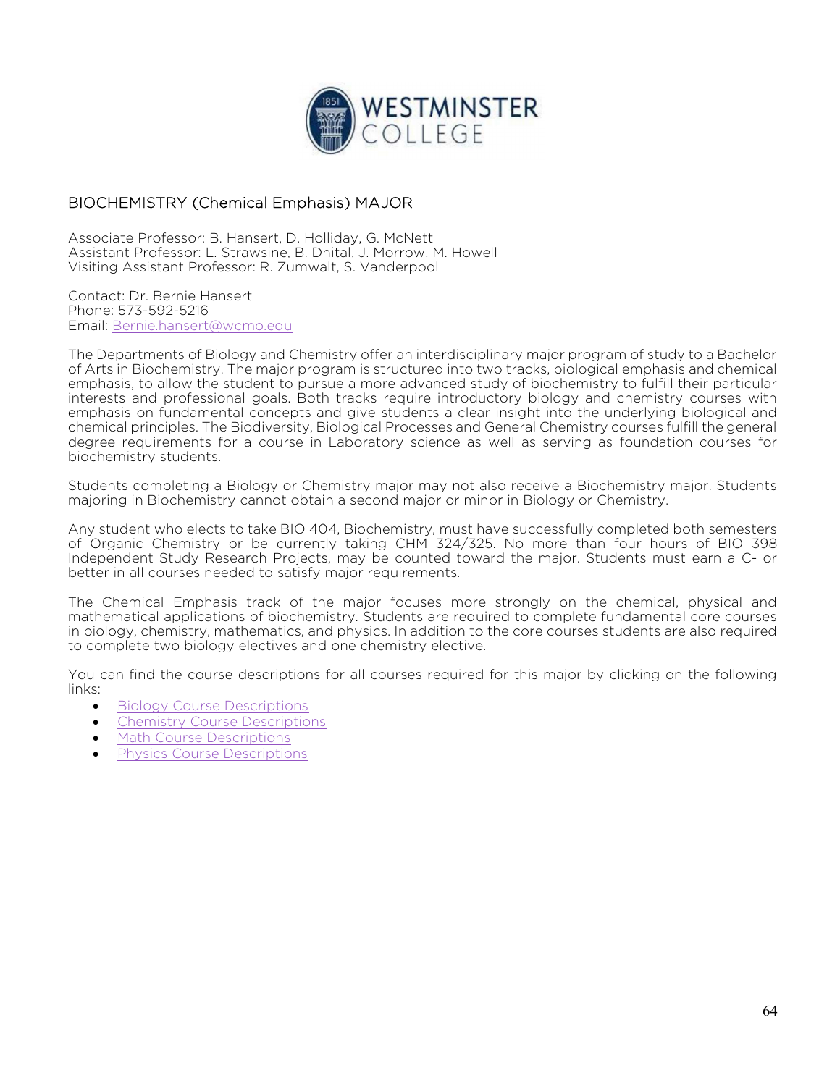

## BIOCHEMISTRY (Chemical Emphasis) MAJOR

Associate Professor: B. Hansert, D. Holliday, G. McNett Assistant Professor: L. Strawsine, B. Dhital, J. Morrow, M. Howell Visiting Assistant Professor: R. Zumwalt, S. Vanderpool

Contact: Dr. Bernie Hansert Phone: 573-592-5216 Email: Bernie.hansert@wcmo.edu

The Departments of Biology and Chemistry offer an interdisciplinary major program of study to a Bachelor of Arts in Biochemistry. The major program is structured into two tracks, biological emphasis and chemical emphasis, to allow the student to pursue a more advanced study of biochemistry to fulfill their particular interests and professional goals. Both tracks require introductory biology and chemistry courses with emphasis on fundamental concepts and give students a clear insight into the underlying biological and chemical principles. The Biodiversity, Biological Processes and General Chemistry courses fulfill the general degree requirements for a course in Laboratory science as well as serving as foundation courses for biochemistry students.

Students completing a Biology or Chemistry major may not also receive a Biochemistry major. Students majoring in Biochemistry cannot obtain a second major or minor in Biology or Chemistry.

Any student who elects to take BIO 404, Biochemistry, must have successfully completed both semesters of Organic Chemistry or be currently taking CHM 324/325. No more than four hours of BIO 398 Independent Study Research Projects, may be counted toward the major. Students must earn a C- or better in all courses needed to satisfy major requirements.

The Chemical Emphasis track of the major focuses more strongly on the chemical, physical and mathematical applications of biochemistry. Students are required to complete fundamental core courses in biology, chemistry, mathematics, and physics. In addition to the core courses students are also required to complete two biology electives and one chemistry elective.

You can find the course descriptions for all courses required for this major by clicking on the following links:

- Biology Course Descriptions
- Chemistry Course Descriptions
- Math Course Descriptions
- Physics Course Descriptions